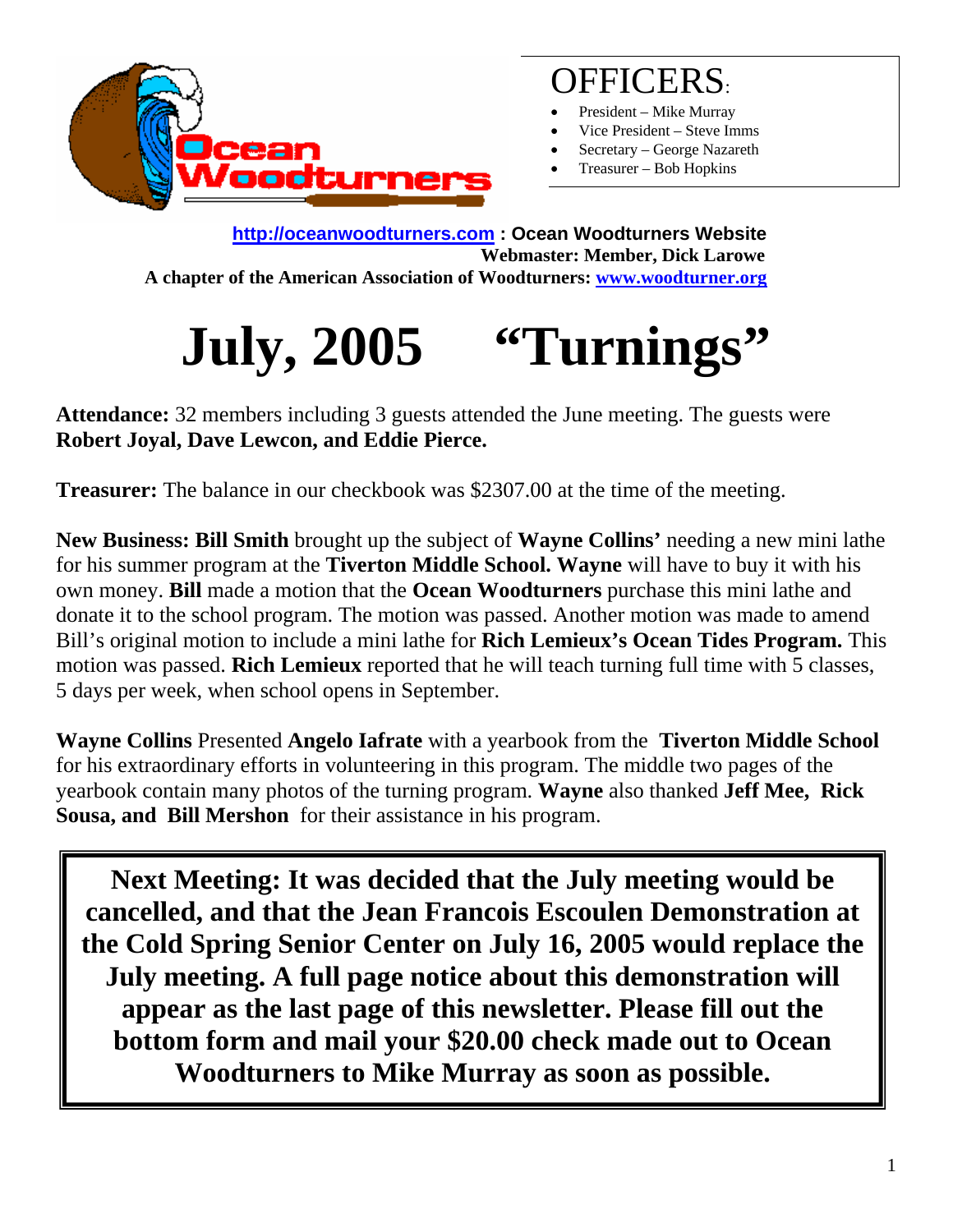

### OFFICERS:

- President Mike Murray
- Vice President Steve Imms
- Secretary George Nazareth
- Treasurer Bob Hopkins

**http://oceanwoodturners.com : Ocean Woodturners Website Webmaster: Member, Dick Larowe A chapter of the American Association of Woodturners: www.woodturner.org** 

# **July, 2005 "Turnings"**

**Attendance:** 32 members including 3 guests attended the June meeting. The guests were **Robert Joyal, Dave Lewcon, and Eddie Pierce.** 

**Treasurer:** The balance in our checkbook was \$2307.00 at the time of the meeting.

**New Business: Bill Smith** brought up the subject of **Wayne Collins'** needing a new mini lathe for his summer program at the **Tiverton Middle School. Wayne** will have to buy it with his own money. **Bill** made a motion that the **Ocean Woodturners** purchase this mini lathe and donate it to the school program. The motion was passed. Another motion was made to amend Bill's original motion to include a mini lathe for **Rich Lemieux's Ocean Tides Program.** This motion was passed. **Rich Lemieux** reported that he will teach turning full time with 5 classes, 5 days per week, when school opens in September.

**Wayne Collins** Presented **Angelo Iafrate** with a yearbook from the **Tiverton Middle School** for his extraordinary efforts in volunteering in this program. The middle two pages of the yearbook contain many photos of the turning program. **Wayne** also thanked **Jeff Mee, Rick Sousa, and Bill Mershon** for their assistance in his program.

**Next Meeting: It was decided that the July meeting would be cancelled, and that the Jean Francois Escoulen Demonstration at the Cold Spring Senior Center on July 16, 2005 would replace the July meeting. A full page notice about this demonstration will appear as the last page of this newsletter. Please fill out the bottom form and mail your \$20.00 check made out to Ocean Woodturners to Mike Murray as soon as possible.**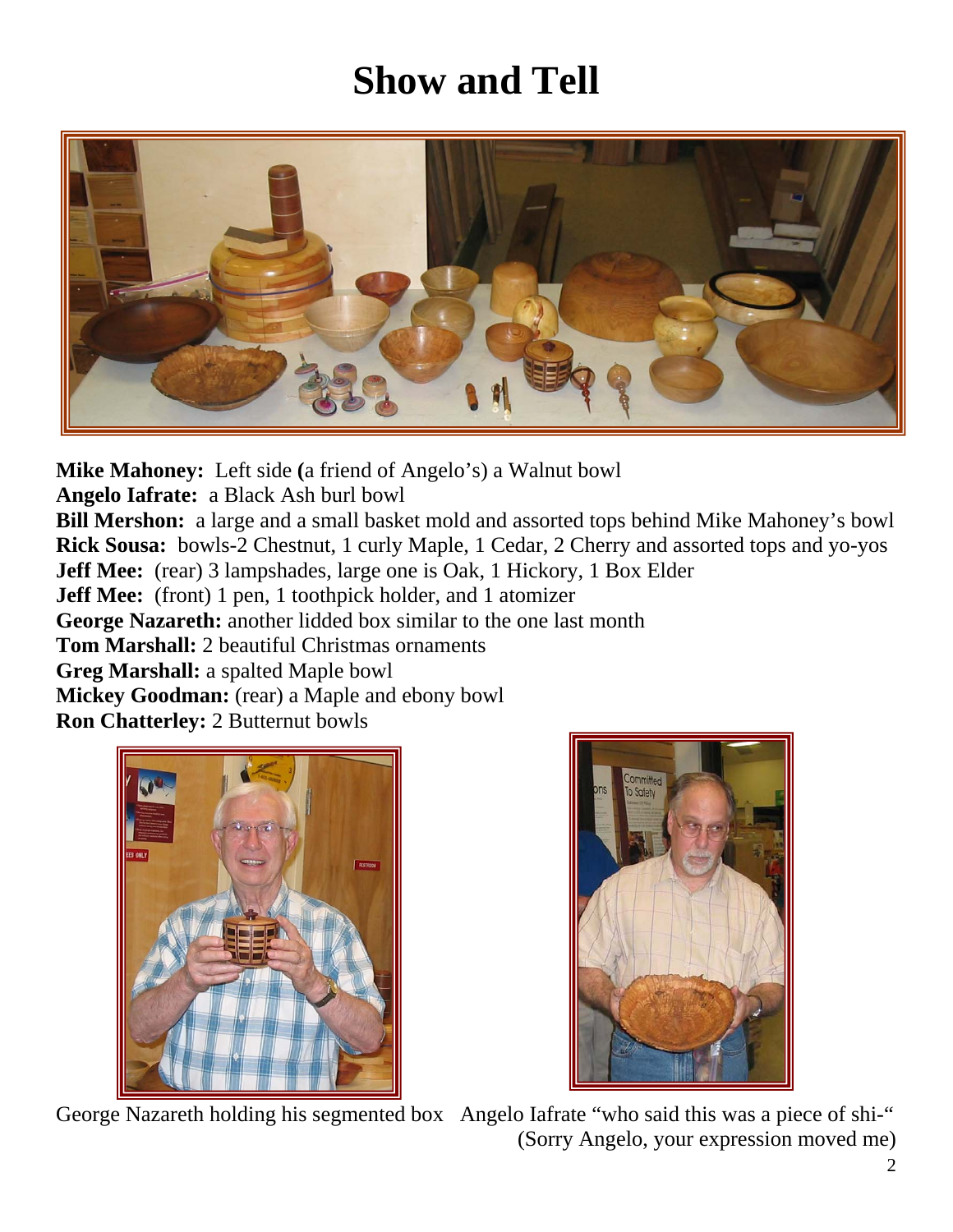# **Show and Tell**



**Mike Mahoney:** Left side **(**a friend of Angelo's) a Walnut bowl

**Angelo Iafrate:** a Black Ash burl bowl

**Bill Mershon:** a large and a small basket mold and assorted tops behind Mike Mahoney's bowl **Rick Sousa:** bowls-2 Chestnut, 1 curly Maple, 1 Cedar, 2 Cherry and assorted tops and yo-yos **Jeff Mee:** (rear) 3 lampshades, large one is Oak, 1 Hickory, 1 Box Elder

**Jeff Mee:** (front) 1 pen, 1 toothpick holder, and 1 atomizer

**George Nazareth:** another lidded box similar to the one last month

**Tom Marshall:** 2 beautiful Christmas ornaments

**Greg Marshall:** a spalted Maple bowl

**Mickey Goodman:** (rear) a Maple and ebony bowl

**Ron Chatterley:** 2 Butternut bowls





George Nazareth holding his segmented box Angelo Iafrate "who said this was a piece of shi-" (Sorry Angelo, your expression moved me)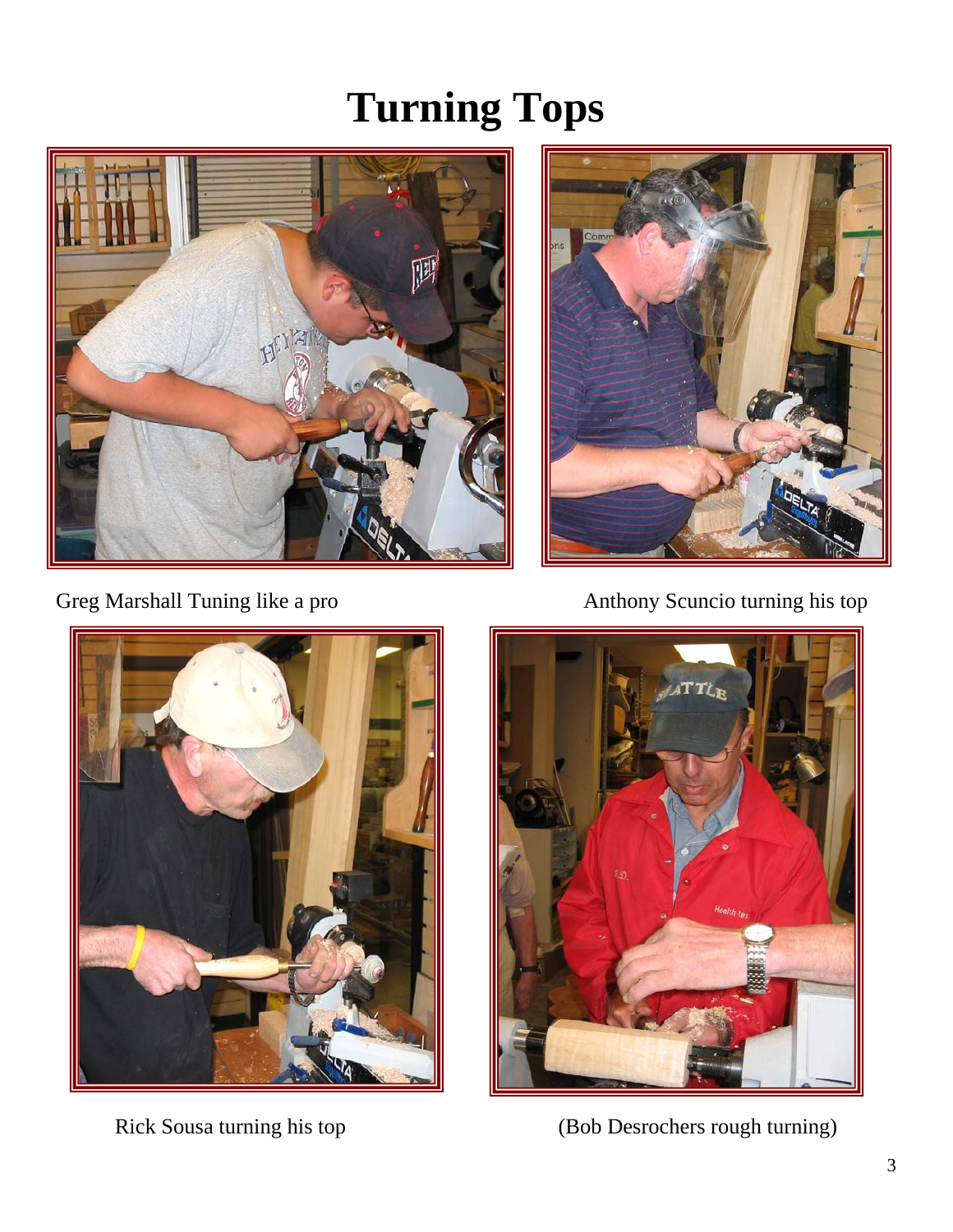# **Turning Tops**



Greg Marshall Tuning like a pro Anthony Scuncio turning his top







Rick Sousa turning his top (Bob Desrochers rough turning)